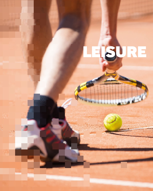# LEISURE

Em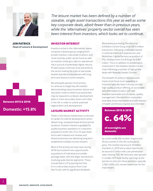

**JON PATRICK Head of Leisure & Development**

**Consultancy**

**Between 2015 & 2018:**

**Domestic: +15.8%**

*The leisure market has been defined by a number of sizeable, single asset transactions this year as well as some key corporate deals, albeit fewer than in previous years, while the 'alternatives' property sector overall has seen keen interest from investors, which looks set to continue.* 

### **INVESTOR INTEREST**

Investors active in the 'alternatives' space comprise a diverse group ranging from private investors, real estate investors, and more recently, public sector funds as well as investors looking to take on operational risk in pursuit of potentially higher returns. Private equity continues to be attracted to the sector looking for a mix of real estate backed operational businesses with long term and diverse income streams.

We anticipate pension fund activity to continue to target key UK markets demonstrating robust business, leisure and education metrics whilst local authorities may be required to underpin development plans in more secondary towns and cities in the UK, in order to unlock potential regeneration and development.

### **LEISURE MARKET ACTIVITY**

Yields in the leisure market have continued to harden for well let developments which deliver long, unexpired lease terms in prime locations. Investor interest is greatest for quality business operations or covenants prepared to enter into 25 to 35 year lease terms with indexed rent reviews and, where businesses are delivering long term established multiple income streams.

Most of the activity we have seen during 2018 has involved more opportunistic acquisitions of individual and smaller package deals, with the larger transactions involving quite diverse segments. These include Epiris LLP acquiring the Club Co in a secondary buyout from Loan Star Funds, with its significant landbank,

Blackstone purchasing The National Exhibition Centre Group in an £810 million transaction, following continued interest in entertainment and experiences, and Midlothian Capital Partners acquisition of PGL Holidays from Cox & Kings for £467 million. This is in addition to bolstering its investment in the Dobbies Garden Centre chain following a number of high profile deals with Wyevale Garden Centres.

The breadth of variety in leisure assets means that those most appealing to investors typically have a strong concept, high quality product offering, an accessible and defendable location with well invested real estate and of course, quality management. Demand from consumers invariably drives the market and with interest in health and fitness inspired and informed



### **of overnights are domestic**

by social media, the number of gyms and fitness centres in the UK continues to grow. The market had around 10 million members in 2018 and a value reported to be around £5 billon with user penetration rates nearing 15%. We have also seen growth in smaller HIIT-style facility openings as the barriers to entry for these premises, typically 2,500-5,000 sq ft, remain lower than for the mainstream.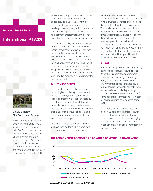### **Between 2015 & 2018:**

# **International: +13.2%**



### **CASE STUDY City Green, near Geneva**

We conducted an off-market acquisition of the City Green sports and health club on behalf of David Lloyd Leisure as their first health club in France, situated 10 minutes' drive from the centre of Geneva. A post acquisition investment programme of £5 million was implemented ahead of the club's re-opening in September 2018.

Whilst the major gym operators continue to expand, businesses without the added security and steady revenue of a membership income model, such as bowling alleys and many indoor trampoline venues, now appear to be focusing on reinvestment or reformatting the concept in existing sites, rather than on expansion.

Caravan and holiday parks remain in high demand due to the range and quality of income streams where annual pitch fees are treated as quasi-investment income. We see this set to continue, particularly with the phenomenal summer in 2018 and low exchange rates on the Sterling seeing staycations enjoy maintained growth, along with increasing international visitor numbers, as travel agents such as Thomas Cook and TUI reported a weak summer for holidays abroad.

### **MULTI-USE SITES**

As the shift in consumer habits moves increasingly from the high street towards online platforms, there is some risk to leisure operators in locations affected by a decline in consumer footfall, though this depends on the nature of the business. Multi-use leisure sites which cater to more than one consumer type and act a 'onestop shop' are more likely to be able to avoid these challenges.

One type of multi-faceted business that we have seen performing extremely well is the garden centre, proving popular

with consumers and investors alike. Following our instruction on the sale of the Wyevale Garden Centres portfolio across the UK, interest has been considerable. The retail experience here bears little resemblance to the high street and dwell times are significantly longer. Noticeably, the availability of quality food and beverage provision drives footfall and spend per head, there are a broad base of concessions offering a wide product range and additional features such as children's play areas extend the appeal to a wider consumer market and demographic.

### **BREXIT**

Staffing and employment costs are clearly going to be key issues following Brexit given the customer facing workforce in leisure and hospitality comprising many EU workers and the result of any immigration policy changes could reduce this employment pool. With fewer people available to fill this gap, wage competitiveness may become a factor for some operators to attract and retain staff for positions which have become harder to fill.

In relation to the economic landscape following Brexit, if Sterling falls to lower levels, as it has done in general since the vote to leave, this would be encouraging for UK holiday parks that benefit from a rise in staycations, which also benefit from low exchange rates.



### **UK AND OVERSEAS VISITORS TO AND FROM THE UK (BASE = 100)**

*Sources: ONS, Christie & Co Research & Analytics*